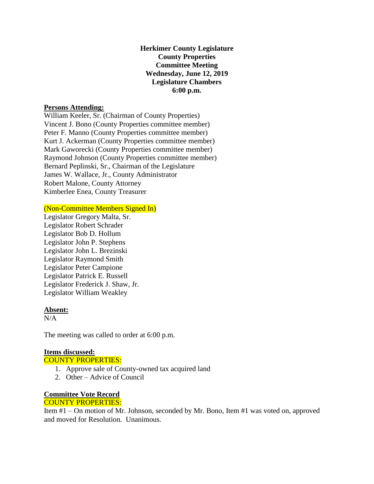## **Herkimer County Legislature County Properties Committee Meeting Wednesday, June 12, 2019 Legislature Chambers 6:00 p.m.**

### **Persons Attending:**

William Keeler, Sr. (Chairman of County Properties) Vincent J. Bono (County Properties committee member) Peter F. Manno (County Properties committee member) Kurt J. Ackerman (County Properties committee member) Mark Gaworecki (County Properties committee member) Raymond Johnson (County Properties committee member) Bernard Peplinski, Sr., Chairman of the Legislature James W. Wallace, Jr., County Administrator Robert Malone, County Attorney Kimberlee Enea, County Treasurer

## (Non-Committee Members Signed In)

Legislator Gregory Malta, Sr. Legislator Robert Schrader Legislator Bob D. Hollum Legislator John P. Stephens Legislator John L. Brezinski Legislator Raymond Smith Legislator Peter Campione Legislator Patrick E. Russell Legislator Frederick J. Shaw, Jr. Legislator William Weakley

#### **Absent:**

 $N/A$ 

The meeting was called to order at 6:00 p.m.

# **Items discussed:**

COUNTY PROPERTIES:

- 1. Approve sale of County-owned tax acquired land
- 2. Other Advice of Council

#### **Committee Vote Record** COUNTY PROPERTIES:

Item #1 – On motion of Mr. Johnson, seconded by Mr. Bono, Item #1 was voted on, approved and moved for Resolution. Unanimous.